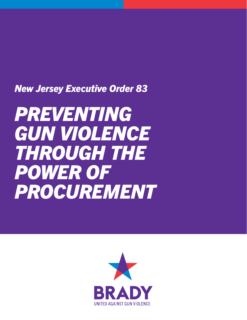### *New Jersey Executive Order 83*

# *PREVENTING GUN VIOLENCE THROUGH THE POWER OF PROCUREMENT*

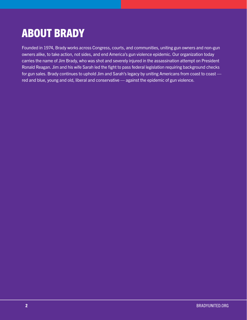## ABOUT BRADY

Founded in 1974, Brady works across Congress, courts, and communities, uniting gun owners and non-gun owners alike, to take action, not sides, and end America's gun violence epidemic. Our organization today carries the name of Jim Brady, who was shot and severely injured in the assassination attempt on President Ronald Reagan. Jim and his wife Sarah led the fight to pass federal legislation requiring background checks for gun sales. Brady continues to uphold Jim and Sarah's legacy by uniting Americans from coast to coast red and blue, young and old, liberal and conservative — against the epidemic of gun violence.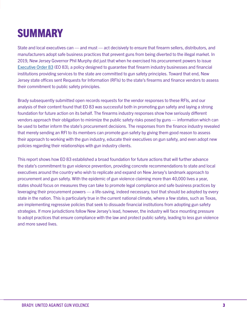# **SUMMARY**

State and local executives can — and must — act decisively to ensure that firearm sellers, distributors, and manufacturers adopt safe business practices that prevent guns from being diverted to the illegal market. In 2019, New Jersey Governor Phil Murphy did just that when he exercised his procurement powers to issue [Executive Order 83](https://nj.gov/infobank/eo/056murphy/pdf/EO-83.pdf) (EO 83), a policy designed to guarantee that firearm industry businesses and financial institutions providing services to the state are committed to gun safety principles. Toward that end, New Jersey state offices sent Requests for Information (RFIs) to the state's firearms and finance vendors to assess their commitment to public safety principles.

Brady subsequently submitted open records requests for the vendor responses to these RFIs, and our analysis of their content found that EO 83 was successful both in promoting gun safety and laying a strong foundation for future action on its behalf. The firearms industry responses show how seriously different vendors approach their obligation to minimize the public safety risks posed by guns — information which can be used to better inform the state's procurement decisions. The responses from the finance industry revealed that merely sending an RFI to its members can promote gun safety by giving them good reason to assess their approach to working with the gun industry, educate their executives on gun safety, and even adopt new policies regarding their relationships with gun industry clients.

This report shows how EO 83 established a broad foundation for future actions that will further advance the state's commitment to gun violence prevention, providing concrete recommendations to state and local executives around the country who wish to replicate and expand on New Jersey's landmark approach to procurement and gun safety. With the epidemic of gun violence claiming more than 40,000 lives a year, states should focus on measures they can take to promote legal compliance and safe business practices by leveraging their procurement powers — a life-saving, indeed necessary, tool that should be adopted by every state in the nation. This is particularly true in the current national climate, where a few states, such as Texas, are implementing regressive policies that seek to dissuade financial institutions from adopting gun safety strategies. If more jurisdictions follow New Jersey's lead, however, the industry will face mounting pressure to adopt practices that ensure compliance with the law and protect public safety, leading to less gun violence and more saved lives.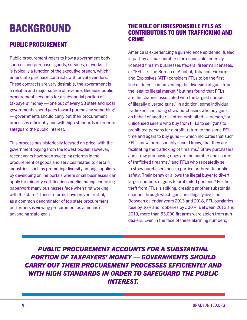### BACKGROUND

### PUBLIC PROCUREMENT

Public procurement refers to how a government body sources and purchases goods, services, or works. It is typically a function of the executive branch, which enters into purchase contracts with private vendors. These contracts are very desirable; the government is a reliable and major source of revenue. Because public procurement accounts for a substantial portion of taxpayers' money — one out of every \$3 state and local governments spend goes toward purchasing something1 — governments should carry out their procurement processes efficiently and with high standards in order to safeguard the public interest.

This process has historically focused on price, with the government buying from the lowest bidder. However, recent years have seen sweeping reforms in the procurement of goods and services related to certain industries, such as promoting diversity among suppliers by developing online portals where small businesses can apply for minority certifications or eliminating confusing paperwork many businesses face when first working with the state.<sup>2</sup> These reforms have proven fruitful, as a common denominator of top state procurement performers is viewing procurement as a means of advancing state goals.3

#### THE ROLE OF IRRESPONSIBLE FFLS AS CONTRIBUTORS TO GUN TRAFFICKING AND CRIME

America is experiencing a gun violence epidemic, fueled in part by a small number of irresponsible federally licensed firearm businesses (federal firearms licensees, or "FFLs"). The Bureau of Alcohol, Tobacco, Firearms and Explosives (ATF) considers FFLs to be the first line of defense in preventing the diversion of guns from the legal to illegal market, $4$  but has found that FFLs are the channel associated with the largest number of illegally diverted guns.<sup>5</sup> In addition, some individual traffickers, including straw purchasers who buy guns on behalf of another  $-$  often prohibited  $-$  person, $6$  or unlicensed sellers who buy from FFLs to sell guns to prohibited persons for a profit, return to the same FFL time and again to buy guns — which indicates that such FFLs know, or reasonably should know, that they are facilitating the trafficking of firearms.<sup>7</sup> Straw purchasers and straw purchasing rings are the number one source of trafficked firearms,<sup>8</sup> and FFLs who repeatedly sell to straw purchasers pose a particular threat to public safety: Their behavior allows the illegal buyer to divert larger numbers of guns to prohibited persons.<sup>9</sup> Further, theft from FFLs is spiking, creating another substantial channel through which guns are illegally diverted. Between calendar years 2013 and 2018, FFL burglaries rose by 16% and robberies by 300%. Between 2012 and 2019, more than 53,000 firearms were stolen from gun dealers. Even in the face of these alarming numbers,

*PUBLIC PROCUREMENT ACCOUNTS FOR A SUBSTANTIAL PORTION OF TAXPAYERS' MONEY — GOVERNMENTS SHOULD CARRY OUT THEIR PROCUREMENT PROCESSES EFFICIENTLY AND WITH HIGH STANDARDS IN ORDER TO SAFEGUARD THE PUBLIC INTEREST.*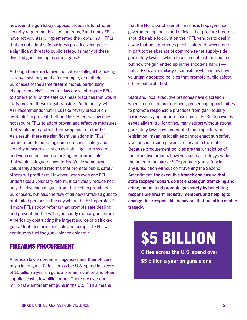however, the gun lobby opposes proposals for stricter security requirements as too onerous.<sup>10</sup> and many FFLs have not voluntarily implemented their own. In all, FFLs that do not adopt safe business practices can pose a significant threat to public safety, as many of these diverted guns end up as crime guns. $11$ 

Although there are known indicators of illegal trafficking — large cash payments, for example, or multiple purchases of the same firearm model, particularly cheaper models $12$  — federal law does not require FFLs to adhere to all of the safe business practices that would likely prevent these illegal transfers. Additionally, while ATF recommends that FFLs take "every precaution available" to prevent theft and  $loss<sub>13</sub>$  federal law does not require FFLs to adopt proven and effective measures that would help protect their weapons from theft. $14$ As a result, there are significant variations in FFLs' commitment to adopting common-sense safety and security measures — such as installing alarm systems and video surveillance or locking firearms in safes – that would safeguard inventories. While some have voluntarily adopted reforms that promote public safety, others put profit first. However, when even one FFL undertakes a voluntary reform, it can vastly reduce not only the diversion of guns from that FFL to prohibited purchasers, but also the flow of all new trafficked guns to prohibited persons in the city where the FFL operates.15 If more FFLs adopt reforms that promote safe dealing and prevent theft, it will significantly reduce gun crime in America by obstructing the largest source of trafficked guns. Until then, irresponsible and complicit FFLs will continue to fuel the gun violence epidemic.

#### FIREARMS PROCUREMENT

American law enforcement agencies and their officers buy a lot of guns. Cities across the U.S. spend in excess of \$5 billion a year on guns alone;ammunition and other supplies cost a few billion more. There are over one million law enforcement guns in the U.S.<sup>16</sup> This means

that the No. 1 purchaser of firearms is taxpayers, so government agencies and officials that procure firearms should be able to count on their FFL vendors to deal in a way that best promotes public safety. However, due in part to the absence of common-sense supply-side gun safety laws — which focus on not just the shooter, but how the gun ended up in the shooter's hands not all FFLs are similarly responsible; while many have voluntarily adopted policies that promote public safety, others put profit first.

State and local executive branches have discretion when it comes to procurement, presenting opportunities to promote responsible practices from gun industry businesses vying for purchase contracts. Such power is especially fruitful for cities; many states without strong gun safety laws have preempted municipal firearms legislation, meaning localities cannot enact gun safety laws because such power is reserved to the state. Because procurement policies are the jurisdiction of the executive branch, however, such a strategy evades the preemption barrier.<sup>17</sup> To promote gun safety in any jurisdiction without contravening the Second Amendment, the executive branch can ensure that state taxpayer dollars do not enable gun trafficking and crime, but instead promote gun safety by benefiting responsible firearm industry members and helping to change the irresponsible behaviors that too often enable tragedy.

\$5 BILLION

Cities across the U.S. spend over \$5 billion a year on guns alone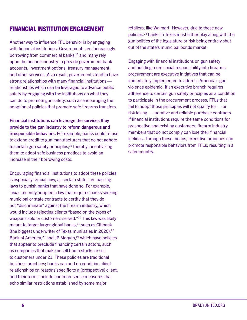### FINANCIAL INSTITUTION ENGAGEMENT

Another way to influence FFL behavior is by engaging with financial institutions. Governments are increasingly borrowing from commercial banks,<sup>18</sup> and many rely upon the finance industry to provide government bank accounts, investment options, treasury management, and other services. As a result, governments tend to have strong relationships with many financial institutions relationships which can be leveraged to advance public safety by engaging with the institutions on what they can do to promote gun safety, such as encouraging the adoption of policies that promote safe firearms transfers.

Financial institutions can leverage the services they provide to the gun industry to reform dangerous and irresponsible behaviors. For example, banks could refuse to extend credit to gun manufacturers that do not adhere to certain gun safety principles, $19$  thereby incentivizing them to adopt safe business practices to avoid an increase in their borrowing costs.

Encouraging financial institutions to adopt these policies is especially crucial now, as certain states are passing laws to punish banks that have done so. For example, Texas recently adopted a law that requires banks seeking municipal or state contracts to certify that they do not "discriminate" against the firearm industry, which would include rejecting clients "based on the types of weapons sold or customers served."<sup>20</sup> This law was likely meant to target larger global banks,<sup>21</sup> such as Citibank (the biggest underwriter of Texas muni sales in 2020), $22$ Bank of America, $23$  and JP Morgan, $24$  which have policies that appear to preclude financing certain actors, such as companies that make or sell bump stocks or sell to customers under 21. These policies are traditional business practices; banks can and do condition client relationships on reasons specific to a (prospective) client, and their terms include common-sense measures that echo similar restrictions established by some major

retailers, like Walmart. However, due to these new policies,25 banks in Texas must either play along with the gun politics of the legislature or risk being entirely shut out of the state's municipal bonds market.

Engaging with financial institutions on gun safety and building more social responsibility into firearms procurement are executive initiatives that can be immediately implemented to address America's gun violence epidemic. If an executive branch requires adherence to certain gun safety principles as a condition to participate in the procurement process, FFLs that fail to adopt those principles will not qualify for — or risk losing — lucrative and reliable purchase contracts. If financial institutions require the same conditions for prospective and existing customers, firearm industry members that do not comply can lose their financial lifelines. Through these means, executive branches can promote responsible behaviors from FFLs, resulting in a safer country.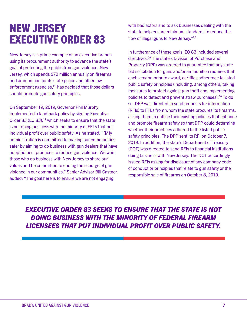### NEW JERSEY EXECUTIVE ORDER 83

New Jersey is a prime example of an executive branch using its procurement authority to advance the state's goal of protecting the public from gun violence. New Jersey, which spends \$70 million annually on firearms and ammunition for its state police and other law enforcement agencies, <sup>26</sup> has decided that those dollars should promote gun safety principles.

On September 19, 2019, Governor Phil Murphy implemented a landmark policy by signing Executive Order 83 (EO 83),<sup>27</sup> which seeks to ensure that the state is not doing business with the minority of FFLs that put individual profit over public safety. As he stated: "[M]y administration is committed to making our communities safer by aiming to do business with gun dealers that have adopted best practices to reduce gun violence. We want those who do business with New Jersey to share our values and be committed to ending the scourge of gun violence in our communities." Senior Advisor Bill Castner added: "The goal here is to ensure we are not engaging

with bad actors and to ask businesses dealing with the state to help ensure minimum standards to reduce the flow of illegal guns to New Jersey."28

In furtherance of these goals, EO 83 included several directives.29 The state's Division of Purchase and Property (DPP) was ordered to guarantee that any state bid solicitation for guns and/or ammunition requires that each vendor, prior to award, certifies adherence to listed public safety principles (including, among others, taking measures to protect against gun theft and implementing policies to detect and prevent straw purchases).30 To do so, DPP was directed to send requests for information (RFIs) to FFLs from whom the state procures its firearms, asking them to outline their existing policies that enhance and promote firearm safety so that DPP could determine whether their practices adhered to the listed public safety principles. The DPP sent its RFI on October 7, 2019. In addition, the state's Department of Treasury (DOT) was directed to send RFIs to financial institutions doing business with New Jersey. The DOT accordingly issued RFIs asking for disclosure of any company code of conduct or principles that relate to gun safety or the responsible sale of firearms on October 8, 2019.

*EXECUTIVE ORDER 83 SEEKS TO ENSURE THAT THE STATE IS NOT DOING BUSINESS WITH THE MINORITY OF FEDERAL FIREARM LICENSEES THAT PUT INDIVIDUAL PROFIT OVER PUBLIC SAFETY.*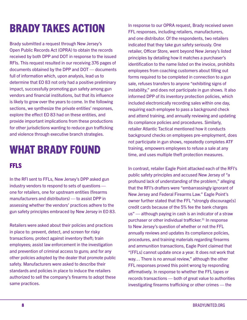# BRADY TAKES ACTION

Brady submitted a request through New Jersey's Open Public Records Act (OPRA) to obtain the records received by both DPP and DOT in response to the issued RFIs. This request resulted in our receiving 376 pages of documents obtained by the DPP and DOT — documents full of information which, upon analysis, lead us to determine that EO 83 not only had a positive preliminary impact, successfully promoting gun safety among gun vendors and financial institutions, but that its influence is likely to grow over the years to come. In the following sections, we synthesize the private entities' responses, explore the effect EO 83 had on these entities, and provide important implications from these productions for other jurisdictions wanting to reduce gun trafficking and violence through executive branch strategies.

## WHAT BRADY FOUND

### FFLS

In the RFI sent to FFLs, New Jersey's DPP asked gun industry vendors to respond to sets of questions one for retailers, one for upstream entities (firearms manufacturers and distributors) — to assist DPP in assessing whether the vendors' practices adhere to the gun safety principles embraced by New Jersey in EO 83.

Retailers were asked about their policies and practices in place to: prevent, detect, and screen for risky transactions; protect against inventory theft; train employees; assist law enforcement in the investigation and prevention of criminal access to guns; and for any other policies adopted by the dealer that promote public safety. Manufacturers were asked to describe their standards and policies in place to induce the retailers authorized to sell the company's firearms to adopt these same practices.

In response to our OPRA request, Brady received seven FFL responses, including retailers, manufacturers, and one distributor. Of the respondents, two retailers indicated that they take gun safety seriously. One retailer, Officer Store, went beyond New Jersey's listed principles by detailing how it matches a purchaser's identification to the name listed on the invoice, prohibits employees from coaching customers about filling out forms required to be completed in connection to a gun sale, refuses transfers to anyone "exhibiting signs of instability," and does not participate in gun shows. It also informed DPP of its inventory protection policies, which included electronically recording sales within one day, requiring each employee to pass a background check and attend training, and annually reviewing and updating its compliance policies and procedures. Similarly, retailer Atlantic Tactical mentioned how it conducts background checks on employees pre-employment, does not participate in gun shows, repeatedly completes ATF training, empowers employees to refuse a sale at any time, and uses multiple theft protection measures.

In contrast, retailer Eagle Point attacked each of the RFI's public safety principles and accused New Jersey of "a profound lack of understanding of the problem," alleging that the RFI's drafters were "embarrassingly ignorant of New Jersey and Federal Firearms Law." Eagle Point's owner further stated that the FFL "strongly discourage[s] credit cards because of the 5% fee the bank charges us" — although paying in cash is an indicator of a straw purchaser or other individual trafficker.<sup>31</sup> In response to New Jersey's question of whether or not the FFL annually reviews and updates its compliance policies, procedures, and training materials regarding firearms and ammunition transactions, Eagle Point claimed that "[FFLs] cannot update once a year. It does not work that way… There is no annual review," although the other FFL responses proved this point wrong by responding affirmatively. In response to whether the FFL tapes or records transactions — both of great value to authorities investigating firearms trafficking or other crimes — the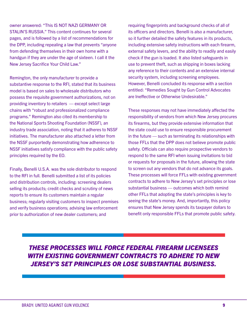owner answered: "This IS NOT NAZI GERMANY OR STALIN'S RUSSIA." This content continues for several pages, and is followed by a list of recommendations for the DPP, including repealing a law that prevents "anyone from defending themselves in their own home with a handgun if they are under the age of sixteen. I call it the New Jersey Sacrifice Your Child Law."

Remington, the only manufacturer to provide a substantive response to the RFI, stated that its business model is based on sales to wholesale distributors who possess the requisite government authorizations, not on providing inventory to retailers — except select large chains with "robust and professionalized compliance programs." Remington also cited its membership to the National Sports Shooting Foundation (NSSF), an industry trade association, noting that it adheres to NSSF initiatives. The manufacturer also attached a letter from the NSSF purportedly demonstrating how adherence to NSSF initiatives satisfy compliance with the public safety principles required by the EO.

Finally, Benelli U.S.A. was the sole distributor to respond to the RFI in full. Benelli submitted a list of its policies and distribution controls, including: screening dealers selling its products; credit checks and scrutiny of news reports to ensure its customers maintain a regular business; regularly visiting customers to inspect premises and verify business operations; advising law enforcement prior to authorization of new dealer customers; and

requiring fingerprints and background checks of all of its officers and directors. Benelli is also a manufacturer, so it further detailed the safety features in its products, including extensive safety instructions with each firearm, external safety levers, and the ability to readily and easily check if the gun is loaded. It also listed safeguards in use to prevent theft, such as shipping in boxes lacking any reference to their contents and an extensive internal security system, including screening employees. However, Benelli concluded its response with a section entitled: "Remedies Sought by Gun Control Advocates are Ineffective or Otherwise Undesirable."

These responses may not have immediately affected the responsibility of vendors from which New Jersey procures its firearms, but they provide extensive information that the state could use to ensure responsible procurement in the future — such as terminating its relationships with those FFLs that the DPP does not believe promote public safety. Officials can also require prospective vendors to respond to the same RFI when issuing invitations to bid or requests for proposals in the future, allowing the state to screen out any vendors that do not advance its goals. These processes will force FFLs with existing government contracts to adhere to New Jersey's set principles or lose substantial business — outcomes which both remind other FFLs that adopting the state's principles is key to seeing the state's money. And, importantly, this policy ensures that New Jersey spends its taxpayer dollars to benefit only responsible FFLs that promote public safety.

*THESE PROCESSES WILL FORCE FEDERAL FIREARM LICENSEES WITH EXISTING GOVERNMENT CONTRACTS TO ADHERE TO NEW JERSEY'S SET PRINCIPLES OR LOSE SUBSTANTIAL BUSINESS.*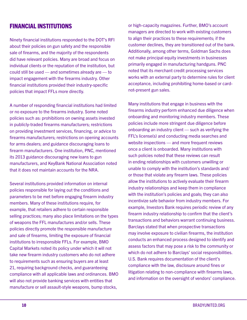### FINANCIAL INSTITUTIONS

Ninety financial institutions responded to the DOT's RFI about their policies on gun safety and the responsible sale of firearms, and the majority of the respondents did have relevant policies. Many are broad and focus on individual clients or the reputation of the institution, but could still be used — and sometimes already are — to impact engagement with the firearms industry. Other financial institutions provided their industry-specific policies that impact FFLs more directly.

A number of responding financial institutions had limited or no exposure to the firearms industry. Some noted policies such as: prohibitions on owning assets invested in publicly-traded firearms manufacturers; restrictions on providing investment services, financing, or advice to firearms manufacturers; restrictions on opening accounts for arms dealers; and guidance discouraging loans to firearm manufacturers. One institution, PNC, mentioned its 2013 guidance discouraging new loans to gun manufacturers, and KeyBank National Association noted that it does not maintain accounts for the NRA.

Several institutions provided information on internal policies responsible for laying out the conditions and parameters to be met before engaging firearm industry members. Many of these institutions require, for example, that retailers adhere to certain responsible selling practices; many also place limitations on the types of weapons the FFL manufactures and/or sells. These policies directly promote the responsible manufacture and sale of firearms, limiting the exposure of financial institutions to irresponsible FFLs. For example, BMO Capital Markets noted its policy under which it will not take new firearm industry customers who do not adhere to requirements such as ensuring buyers are at least 21, requiring background checks, and guaranteeing compliance with all applicable laws and ordinances. BMO will also not provide banking services with entities that manufacture or sell assault-style weapons, bump stocks,

or high-capacity magazines. Further, BMO's account managers are directed to work with existing customers to align their practices to these requirements; if the customer declines, they are transitioned out of the bank. Additionally, among other terms, Goldman Sachs does not make principal equity investments in businesses primarily engaged in manufacturing handguns. PNC noted that its merchant credit processing services works with an external party to determine rules for client acceptance, including prohibiting home-based or cardnot-present gun sales.

Many institutions that engage in business with the firearms industry perform enhanced due diligence when onboarding and monitoring industry members. These policies include more stringent due diligence before onboarding an industry client — such as verifying the FFL's license(s) and conducting media searches and website inspections — and more frequent reviews once a client is onboarded. Many institutions with such policies noted that these reviews can result in ending relationships with customers unwilling or unable to comply with the institution's standards and/ or those that violate any firearm laws. These policies allow the institutions to actively evaluate their firearm industry relationships and keep them in compliance with the institution's policies and goals; they can also incentivize safe behavior from industry members. For example, Investors Bank requires periodic review of any firearm industry relationship to confirm that the client's transactions and behaviors warrant continuing business. Barclays stated that when prospective transactions may involve exposure to civilian firearms, the institution conducts an enhanced process designed to identify and assess factors that may pose a risk to the community or which do not adhere to Barclays' social responsibilities. U.S. Bank requires documentation of the client's compliance with the law, disclosure around fines or litigation relating to non-compliance with firearms laws, and information on the oversight of vendors' compliance.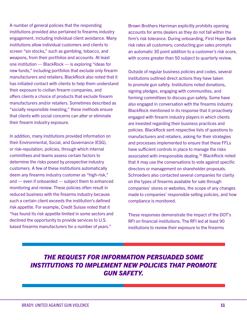A number of general policies that the responding institutions provided also pertained to firearms industry engagement, including individual client avoidance. Many institutions allow individual customers and clients to screen "sin stocks," such as gambling, tobacco, and weapons, from their portfolios and accounts. At least one institution — BlackRock — is exploring "ideas for new funds," including portfolios that exclude only firearm manufacturers and retailers; BlackRock also noted that it has initiated contact with clients to help them understand their exposure to civilian firearm companies, and offers clients a choice of products that exclude firearm manufacturers and/or retailers. Sometimes described as "socially responsible investing," these methods ensure that clients with social concerns can alter or eliminate their firearm industry exposure.

In addition, many institutions provided information on their Environmental, Social, and Governance (ESG), or risk-reputation, policies, through which internal committees and teams assess certain factors to determine the risks posed by prospective industry customers. A few of these institutions automatically deem any firearms industry customer as "high-risk," and — even if onboarded — subject them to enhanced monitoring and review. These policies often result in reduced business with the firearms industry because such a certain client exceeds the institution's defined risk appetite. For example, Credit Suisse noted that it "has found its risk appetite limited in some sectors and declined the opportunity to provide services to U.S. based firearms manufacturers for a number of years."

Brown Brothers Harriman explicitly prohibits opening accounts for arms dealers as they do not fall within the firm's risk tolerance. During onboarding, First Hope Bank risk rates all customers; conducting gun sales prompts an automatic 30 point addition to a customer's risk score, with scores greater than 50 subject to quarterly review.

Outside of regular business policies and codes, several institutions outlined direct actions they have taken to promote gun safety. Institutions noted donations, signing pledges, engaging with communities, and forming committees to discuss gun safety. Some have also engaged in conversation with the firearms industry. BlackRock mentioned in its response that it proactively engaged with firearm industry players in which clients are invested regarding their business practices and policies. BlackRock sent respective lists of questions to manufacturers and retailers, asking for their strategies and processes implemented to ensure that these FFLs have sufficient controls in place to manage the risks associated with irresponsible dealing.<sup>32</sup> BlackRock noted that it may use the conversations to vote against specific directors or management on shareholder proposals. Schroeders also contacted several companies for clarity on the types of firearms available for sale through companies' stores or websites, the scope of any changes made to companies' responsible selling policies, and how compliance is monitored.

These responses demonstrate the impact of the DOT's RFI on financial institutions. The RFI led at least 90 institutions to review their exposure to the firearms

### *THE REQUEST FOR INFORMATION PERSUADED SOME INSTITUTIONS TO IMPLEMENT NEW POLICIES THAT PROMOTE GUN SAFETY.*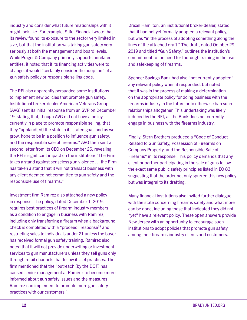industry and consider what future relationships with it might look like. For example, Stifel Financial wrote that its review found its exposure to the sector very limited in size, but that the institution was taking gun safety very seriously at both the management and board levels. While Prager & Company primarily supports unrelated entities, it noted that if its financing activities were to change, it would "certainly consider the adoption" of a gun safety policy or responsible selling code.

The RFI also apparently persuaded some institutions to implement new policies that promote gun safety. Institutional broker-dealer American Veterans Group (AVG) sent its initial response from an SVP on December 19, stating that, though AVG did not have a policy currently in place to promote responsible selling, that they "applaud[ed] the state in its stated goal, and as we grow, hope to be in a position to influence gun safety, and the responsible sale of firearms." AVG then sent a second letter from its CEO on December 26, revealing the RFI's significant impact on the institution: "The Firm takes a stand against senseless gun violence … the Firm has taken a stand that it will not transact business with any client deemed not committed to gun safety and the responsible use of firearms."

Investment firm Ramirez also attached a new policy in response. The policy, dated December 1, 2019, requires best practices of firearm industry members as a condition to engage in business with Ramirez, including only transferring a firearm when a background check is completed with a "proceed" response $33$  and restricting sales to individuals under 21 unless the buyer has received formal gun safety training. Ramirez also noted that it will not provide underwriting or investment services to gun manufacturers unless they sell guns only through retail channels that follow its set practices. The firm mentioned that the "outreach [by the DOT] has caused senior management at Ramirez to become more informed about gun safety issues and the measures Ramirez can implement to promote more gun safety practices with our customers."

Drexel Hamilton, an institutional broker-dealer, stated that it had not yet formally adopted a relevant policy, but was "in the process of adopting something along the lines of the attached draft." The draft, dated October 29, 2019 and titled "Gun Safety," outlines the institution's commitment to the need for thorough training in the use and safekeeping of firearms.

Spencer Savings Bank had also "not currently adopted" any relevant policy when it responded, but noted that it was in the process of making a determination on the appropriate policy for doing business with the firearms industry in the future or to otherwise ban such relationships altogether. This undertaking was likely induced by the RFI, as the Bank does not currently engage in business with the firearms industry.

Finally, Stern Brothers produced a "Code of Conduct Related to Gun Safety, Possession of Firearms on Company Property, and the Responsible Sale of Firearms" in its response. This policy demands that any client or partner participating in the sale of guns follow the exact same public safety principles listed in EO 83, suggesting that the order not only spurred this new policy but was integral to its drafting.

Many financial institutions also invited further dialogue with the state concerning firearms safety and what more can be done, including those that indicated they did not "yet" have a relevant policy. These open answers provide New Jersey with an opportunity to encourage such institutions to adopt policies that promote gun safety among their firearms industry clients and customers.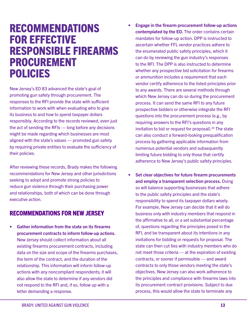### RECOMMENDATIONS FOR EFFECTIVE RESPONSIBLE FIREARMS PROCUREMENT POLICIES

New Jersey's EO 83 advanced the state's goal of promoting gun safety through procurement. The responses to the RFI provide the state with sufficient information to work with when evaluating who to give its business to and how to spend taxpayer dollars responsibly. According to the records reviewed, even just the act of sending the RFIs — long before any decisions might be made regarding which businesses are most aligned with the state's values — promoted gun safety by requiring private entities to evaluate the sufficiency of their policies.

After reviewing these records, Brady makes the following recommendations for New Jersey and other jurisdictions seeking to adopt and promote strong policies to reduce gun violence through their purchasing power and relationships, both of which can be done through executive action.

#### RECOMMENDATIONS FOR NEW JERSEY

• Gather information from the state on its firearms procurement contracts to inform follow-up actions. New Jersey should collect information about all existing firearms procurement contracts, including data on the size and scope of the firearms purchases, the term of the contract, and the duration of the relationship. This information will inform follow-up actions with any noncompliant respondents; it will also allow the state to determine if any vendors did not respond to the RFI and, if so, follow up with a letter demanding a response.

- Engage in the firearm procurement follow-up actions contemplated by the EO. The order contains certain mandates for follow-up action. DPP is instructed to ascertain whether FFL vendor practices adhere to the enumerated public safety principles, which it can do by reviewing the gun industry's responses to the RFI. The DPP is also instructed to determine whether any prospective bid solicitation for firearms or ammunition includes a requirement that each vendor certify adherence to the listed principles prior to any awards. There are several methods through which New Jersey can do so during the procurement process. It can send the same RFI to any future prospective bidders or otherwise integrate the RFI questions into the procurement process (e.g., by requiring answers to the RFI's questions in any invitation to bid or request for proposal). $34$  The state can also conduct a forward-looking prequalification process by gathering applicable information from numerous potential vendors and subsequently limiting future bidding to only those that certify adherence to New Jersey's public safety principles.
- Set clear objectives for future firearm procurements and employ a transparent selection process. Doing so will balance supporting businesses that adhere to the public safety principles and the state's responsibility to spend its taxpayer dollars wisely. For example, New Jersey can decide that it will do business only with industry members that respond in the affirmative to all, or a set substantial percentage of, questions regarding the principles posed in the RFI, and be transparent about its intentions in any invitations for bidding or requests for proposal. The state can then cut ties with industry members who do not meet those criteria — at the expiration of existing contracts, or sooner if permissible — and award contracts to only those vendors meeting the state's objectives. New Jersey can also work adherence to the principles and compliance with firearms laws into its procurement contract provisions. Subject to due process, this would allow the state to terminate any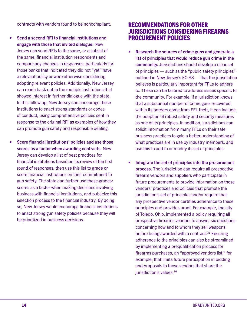contracts with vendors found to be noncompliant.

- Send a second RFI to financial institutions and engage with those that invited dialogue. New Jersey can send RFIs to the same, or a subset of the same, financial institution respondents and compare any changes in responses, particularly for those banks that indicated they did not "yet" have a relevant policy or were otherwise considering adopting relevant policies. Additionally, New Jersey can reach back out to the multiple institutions that showed interest in further dialogue with the state. In this follow up, New Jersey can encourage these institutions to enact strong standards or codes of conduct, using comprehensive policies sent in response to the original RFI as examples of how they can promote gun safety and responsible dealing.
- Score financial institutions' policies and use those scores as a factor when awarding contracts. New Jersey can develop a list of best practices for financial institutions based on its review of the first round of responses, then use this list to grade or score financial institutions on their commitment to gun safety. The state can further use these grades/ scores as a factor when making decisions involving business with financial institutions, and publicize this selection process to the financial industry. By doing so, New Jersey would encourage financial institutions to enact strong gun safety policies because they will be prioritized in business decisions.

#### RECOMMENDATIONS FOR OTHER JURISDICTIONS CONSIDERING FIREARMS PROCUREMENT POLICIES

- Research the sources of crime guns and generate a list of principles that would reduce gun crime in the community. Jurisdictions should develop a clear set of principles — such as the "public safety principles" outlined in New Jersey's EO 83 — that the jurisdiction believes is particularly important for FFLs to adhere to. These can be tailored to address issues specific to the community. For example, if a jurisdiction knows that a substantial number of crime guns recovered within its borders come from FFL theft, it can include the adoption of robust safety and security measures as one of its principles. In addition, jurisdictions can solicit information from many FFLs on their safe business practices to gain a better understanding of what practices are in use by industry members, and use this to add to or modify its set of principles.
- Integrate the set of principles into the procurement process. The jurisdiction can require all prospective firearm vendors and suppliers who participate in future procurements to provide information on those vendors' practices and policies that promote the jurisdiction's set of principles and/or require that any prospective vendor certifies adherence to these principles and provides proof. For example, the city of Toledo, Ohio, implemented a policy requiring all prospective firearms vendors to answer six questions concerning how and to whom they sell weapons before being awarded with a contract.<sup>35</sup> Ensuring adherence to the principles can also be streamlined by implementing a prequalification process for firearms purchases; an "approved vendors list," for example, that limits future participation in bidding and proposals to those vendors that share the jurisdiction's values.<sup>36</sup>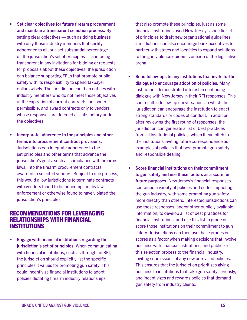- Set clear objectives for future firearm procurement and maintain a transparent selection process. By setting clear objectives — such as doing business with only those industry members that certify adherence to all, or a set substantial percentage of, the jurisdiction's set of principles — and being transparent in any invitations for bidding or requests for proposals about these objectives, the jurisdiction can balance supporting FFLs that promote public safety with its responsibility to spend taxpayer dollars wisely. The jurisdiction can then cut ties with industry members who do not meet those objectives at the expiration of current contracts, or sooner if permissible, and award contracts only to vendors whose responses are deemed as satisfactory under the objectives.
- Incorporate adherence to the principles and other terms into procurement contract provisions. Jurisdictions can integrate adherence to the set principles and other terms that advance the jurisdiction's goals, such as compliance with firearms laws, into the firearm procurement contracts awarded to selected vendors. Subject to due process, this would allow jurisdictions to terminate contracts with vendors found to be noncompliant by law enforcement or otherwise found to have violated the jurisdiction's principles.

#### RECOMMENDATIONS FOR LEVERAGING RELATIONSHIPS WITH FINANCIAL INSTITUTIONS

• Engage with financial institutions regarding the jurisdiction's set of principles. When communicating with financial institutions, such as through an RFI, the jurisdiction should explicitly list the specific principles it values for promoting gun safety. This could incentivize financial institutions to adopt policies dictating firearm industry relationships

that also promote these principles, just as some financial institutions used New Jersey's specific set of principles to draft new organizational guidelines. Jurisdictions can also encourage bank executives to partner with states and localities to expand solutions to the gun violence epidemic outside of the legislative arena.

- Send follow-ups to any institutions that invite further dialogue to encourage adoption of policies. Many institutions demonstrated interest in continuing dialogue with New Jersey in their RFI responses. This can result in follow-up conversations in which the jurisdiction can encourage the institution to enact strong standards or codes of conduct. In addition, after reviewing the first round of responses, the jurisdiction can generate a list of best practices from all institutional policies, which it can pitch to the institutions inviting future correspondence as examples of policies that best promote gun safety and responsible dealing.
- Score financial institutions on their commitment to gun safety and use these factors as a score for future purposes. New Jersey's financial responses contained a variety of policies and codes impacting the gun industry, with some promoting gun safety more directly than others. Interested jurisdictions can use these responses, and/or other publicly available information, to develop a list of best practices for financial institutions, and use this list to grade or score those institutions on their commitment to gun safety. Jurisdictions can then use these grades or scores as a factor when making decisions that involve business with financial institutions, and publicize this selection process to the financial industry, inviting submissions of any new or revised policies. This ensures that the jurisdiction prioritizes giving business to institutions that take gun safety seriously, and incentivizes and rewards policies that demand gun safety from industry clients.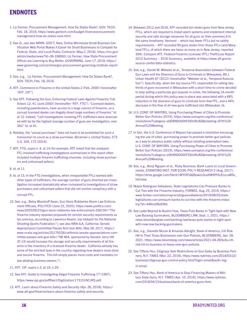### **ENDNOTES**

- 1. Liz Farmer, Procurement Management: How Do States Rank?, GOV. TECH, Feb. 18, 2016, https://www.govtech.com/budget-finance/procurementmanagement-how-do-states-rank.html.
- 2. See id.; see also MINN. GOV'T, New, Online Minnesota Small Business Certification Web Portal Makes It Easier for Small Businesses to Compete for Federal, State, and Local Public Contracts (May 2, 2018), https://mn.gov/ admin/media/news/?id=36-338062; Liz Farmer, How State Procurement Offices are Learning to Buy Better, GOVERNING, June 17, 2019, https:// www.governing.com/archive/gov-procurement-governing-institute-report. html.
- 3. See, e.g., Liz Farmer, Procurement Management: How Do States Rank?, GOV. TECH, Feb. 18, 2016.
- 4. ATF, Commerce in Firearms in the United States 2 (Feb. 2000) (hereinafter "ATF, CIF").
- 5. See ATF, Following the Gun; Enforcing Federal Laws Against Firearms Traffickers 12, 41 (June 2000) (hereinafter "ATF, FTG"). "Licensed dealers, including pawnbrokers, have access to a large volume of firearms, so a corrupt licensed dealer can illegally divert large numbers of firearms." Id. at 12. Indeed, "[a]ll investigations involving FFL traffickers were associated with by far the highest average number of guns per investigation, over 350." Id. at 41.
- 6. Notably, the "actual purchaser" does not have to be prohibited for such a transaction to count as a straw purchase. Abramski v. United States, 573 U.S. 169, 172 (2014).
- 7. ATF, FTG, supra n. 4, at 14 (for example, ATF noted that the analyzed FFL-involved trafficking investigations summarized in this report often included multiple firearms trafficking channels, including straw purchasers and unlicensed sellers).

8. Id. at 11.

- 9. Id. at 15. In the FTG investigations, when irresponsible FFLs worked with other types of traffickers, the average number of guns diverted per investigation increased dramatically when compared to investigations of straw purchasers and unlicensed sellers that did not involve conspiracy with a corrupt FFL.
- 10. See, e.g., Betsy Woodruff Swan, Gun Store Robberies Alarm Law Enforcement Officials, POLITICO (June 23, 2020), https://www.politico.com/ news/2020/06/23/gun-store-robberies-law-enforcement-336104 ("The firearms industry opposes proposals for stricter security requirements as too onerous, according to Lawrence Keane, top lobbyist for the National Shooting Sports Federation."); see also NRA-ILA, California: Senate Appropriaons Committee Passes Anti-Gun Bills, May 28, 2017, https:// www.nraila.org/articles/20170528/california-senate-appropriations-committee-passes-anti-gun-bills ("SB 464, sponsored by Senator Jerry Hill (D-13) would increase the storage and security requirements of all firearms in the inventory of a licensed firearms dealer. California already has some of the strictest laws in the country regarding how dealers must store and secure firearms. This bill simply places more costs and mandates on law-abiding business owners.").
- 11. ATF, CIF, supra n.3, at 19, n.29.
- 12. See ATF, Guide to Investigating Illegal Firearms Trafficking 77 (1997), https://www.ojp.gov/pdffiles1/Digitization/173151NCJRS.pdf.
- 13. ATF, Learn about Firearms Safety and Security (Apr. 26, 2018), https:// www.atf.gov/firearms/learn-about-firearms-safety-and-security.
- 14. Between 2012 and 2016, ATF recorded ten stolen guns from New Jersey FFLs, which are required to install alarm systems and implement internal security and safe storage measures for all guns on their premises.# In the same timeframe, Vermont – which has fewer FFLs but no safety requirements – ATF recorded 90 guns stolen from those FFLs (and Maryland FFLs, of which there are twice as many as in New Jersey, reported 354). Compare ATF, Federal Firearms Licensee (FFL) Theft/Loss Report 2012 Summary – 2016 Summary, available at https://www.atf.gov/resource-center/data-statistics.
- 15. See, e.g., Daniel W. Webster et al., Temporal Association between Federal Gun Laws and the Diversion of Guns to Criminals in Milwaukee, 89 J. Urban Health 87 (2012) (hereinafter "Webster et al., Temporal Association"). Specifically, when the top source FFL responsible for selling twothirds of guns recovered in Milwaukee with a short time-to-crime decided to stop selling a particular gun popular in crime, the following 14-month period during which this policy was in place was associated with a 68% reduction in the diversion of guns to criminals from that FFL, and a 44% decrease in the flow of all new guns trafficked into Milwaukee. Id.
- 16. U.S. CONF. OF MAYORS, Using Purchasing Power of Cities to Promote Better Gun Policies (2019), https://www.usmayors.org/the-conference/ resolutions/?category=a0D4N00000FD0m9UAD&meeting=87th%20 Annual%20Meeting.
- 17. In fact, the U.S. Conference of Mayors has passed a resolution encouraging the use of cities' purchasing power to promote better gun policies as a way to advance public safety without violating preemption laws. U.S. CONF. OF MAYORS, Using Purchasing Power of Cities to Promote Better Gun Policies (2019), https://www.usmayors.org/the-conference/ resolutions/?category=a0D4N00000FD0m9UAD&meeting=87th%20 Annual%20Meeting.
- 18. See, e.g., Benji Nguyen et al., Risky Business: Bank Loans to Local Governments, STANFORD INST. FOR ECON. POL'Y RESEARCH 2 (Aug. 2017), https://drive.google.com/file/d/1WY0fCQQ9pwzLDuxXWXPHL81zcuWSv\_ hG/view.
- 19. Mayra Rodriguez Valladares, State Legislatures Can Pressure Banks to Cut Ties with the Firearms Industry, FORBES, Aug. 25, 2019, https:// www.forbes.com/sites/mayrarodriguezvalladares/2019/08/25/statelegislatures-can-pressure-banks-to-cut-ties-with-the-firearms-industry/?sh=446ce08a5f4d.
- 20. See Lydia Beyoud & Nushin Huq, Texas Puts Banks in Tight Spot with New Law Backing Gunmakers, BLOOMBERG LAW, Sept. 1, 2021, https:// news.bloomberglaw.com/banking-law/texas-puts-banks-in-tight-spotwith-new-law-backing-gunmakers.
- 21. See, e.g., Danielle Moran & Amanda Albright, Bank of America, Citi Risk Hit to Their Texas Businesses over Gun Policies, BLOOMBERG, Apr. 28, 2021, https://www.bloomberg.com/news/articles/2021-04-28/bofa-citirisk-hit-to-business-in-texas-over-gun-policies.
- 22. See Tiffany Hsu, Citigroup Sets Restrictions on Gun Sales by Business Partners, N.Y. TIMES (Mar. 22, 2018), https://www.nytimes.com/2018/03/22/ business/citigroup-gun-control-policy.html?login=email&auth=login-email.
- 23. See Tiffany Hsu, Bank of America to Stop Financing Makers of Military-Style Guns, N.Y. TIMES (Apr. 10, 2018), https://www.nytimes. com/2018/04/10/business/bank-of-america-guns.html.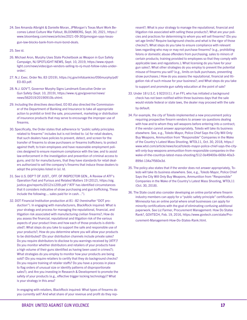24. See Amanda Albright & Danielle Moran, JPMorgan's Texas Muni Work Becomes Latest Culture War Fallout, BLOOMBERG, Sept. 30, 2021, https:// www.bloomberg.com/news/articles/2021-09-30/jpmorgan-says-texasgun-law-blocks-bank-from-muni-bond-deals.

25. See id.

- 26. Michael Aron, Murphy Uses State Pocketbook as Weapon in Gun Safety Campaign, NJ SPOTLIGHT NEWS, Sept. 10, 2019, https://www.njspotlight.com/news/video/gun-vendors-selling-to-nj-must-follow-rules-underorder/.
- 27. N.J. Exec. Order No. 83 (2019), https://nj.gov/infobank/eo/056murphy/pdf/ EO-83.pdf.
- 28. N.J. GOV'T, Governor Murphy Signs Landmark Executive Order on Gun Safety (Sept. 10, 2019), https://www.nj.gov/governor/news/ news/562019/20190910b.shtml.
- 29. Including the directives described, EO 83 also directed the Commissioner of the Department of Banking and Insurance to take all appropriate action to prohibit or limit the sale, procurement, marketing or distribution of insurance products that may serve to encourage the improper use of firearms.
- 30. Specifically, the Order states that adherence to "public safety principles related to firearms" includes but is not limited to: (a) for retail dealers, that such dealers have policies to prevent, detect, and screen for the transfer of firearms to straw purchasers or firearms traffickers; to protect against theft; to train employees and have reasonable employment policies designed to ensure maximum compliance with the law; and to assist law enforcement in the investigation and prevention of criminal access to guns; and (b) for manufacturers, that they have standards for retail dealers authorized to sell the company's firearms that induce those dealers to adopt the principles listed in (a). Id.
- 31. See U.S. DEP'T OF JUST., OFF. OF INSPECTOR GEN., A Review of ATF's Operation Fast and Furious and Related Matters 19 (2012), https://oig. justice.gov/reports/2012/s1209.pdf ("ATF has identified circumstances that it considers indicative of straw purchasing and gun trafficking. These include the following:... sales paid for in cash…").
- 32. DOT Financial Institution production at 81–82 (hereinafter "DOT production"). In engaging with manufacturers, BlackRock inquired: What is your strategy and process for managing the reputational, financial, and litigation risk associated with manufacturing civilian firearms?; How do you assess the financial, reputational and litigation risk of the various aspects of your product lines and how each of those products is distributed?; What steps do you take to support the safe and responsible use of your products?; How do you determine where you will allow your products to be distributed? (Do your distribution channels include private sales? Do you require distributors to disclose to you warnings received by [ATF]? Do you monitor whether distributors and retailers of your products have a high volume of their guns identified as having been used in crimes?); What strategies do you employ to monitor how your products are being sold? (Do you require retailers to certify that they do background checks? Do you require training of retailer staffs? Do you have a process in place to flag orders of unusual size or identify patterns of disproportionate sales?); and Are you investing in Research & Development to promote the safety of your products (e.g., effective trigger locking technology)? What is your strategy in this area?

In engaging with retailers, BlackRock inquired: What types of firearms do you currently sell? And what share of your revenue and profit do they rep-

resent?; What is your strategy to manage the reputational, financial and litigation risk associated with selling these products?; What are your policies and practices for determining to whom you will sell firearms? (Do you set age limits? Require background checks and what is the rigor of those checks?); What steps do you take to ensure compliance with relevant laws regarding who may or may not purchase firearms? (e.g., prohibiting felons or domestic abuse offenders from purchasing; sales to minors of certain products; training provided to employees so that they comply with applicable laws and regulations.); What licensing do you have for your gun sales?; What other strategies do you employ to prevent the potential misuse of firearms you sell? (e.g., limits on bulk purchases, preventing straw purchases.) How do you assess the reputational, financial and litigation risk of such misuse for your business?; and What steps do you take to support and promote gun safety education at the point of sale?

- 33. Under 18 U.S.C. § 922(t)(1), if an FFL who has initiated a background check has not been notified within three business days that the sale would violate federal or state laws, the dealer may proceed with the sale by default.
- 34. For example, the city of Toledo implemented a new procurement policy requiring prospective firearm vendors to answer six questions dealing with how and to whom they sell weapons before entering into a contract; if the vendor cannot answer appropriately, Toledo will take its business elsewhere. See, e.g., Toledo Mayor, Police Chief Says the City Will Only Buy Weapons, Ammunition from "Responsible" Companies in the Wake of the Country's Latest Mass Shooting, WTOL11, Oct. 30, 2018, https:// www.wtol.com/article/news/local/toledo-mayor-police-chief-says-the-citywill-only-buy-weapons-ammunition-from-responsible-companies-in-thewake-of-the-countrys-latest-mass-shooting/512-0e49400e-669d-40a3- 899d-134a7f560e3d.
- 35. The policy also states that if the vendor does not answer appropriately, Toledo will take its business elsewhere. See, e.g., Toledo Mayor, Police Chief Says the City Will Only Buy Weapons, Ammunition from "Responsible" Companies in the Wake of the Country's Latest Mass Shooting, WTOL11 (Oct. 30, 2018).
- 36. The State could also consider developing an online portal where firearm industry members can apply for a "public safety principle" certification. Minnesota has an online portal where small businesses can apply for minority certifications with the goal of eliminating confusing additional paperwork. See Liz Farmer, Procurement Management: How Do States Rank?, GOVTECH, Feb. 19, 2016, https://www.govtech.com/state/Procurement-Management-How-Do-States-Rank.html.